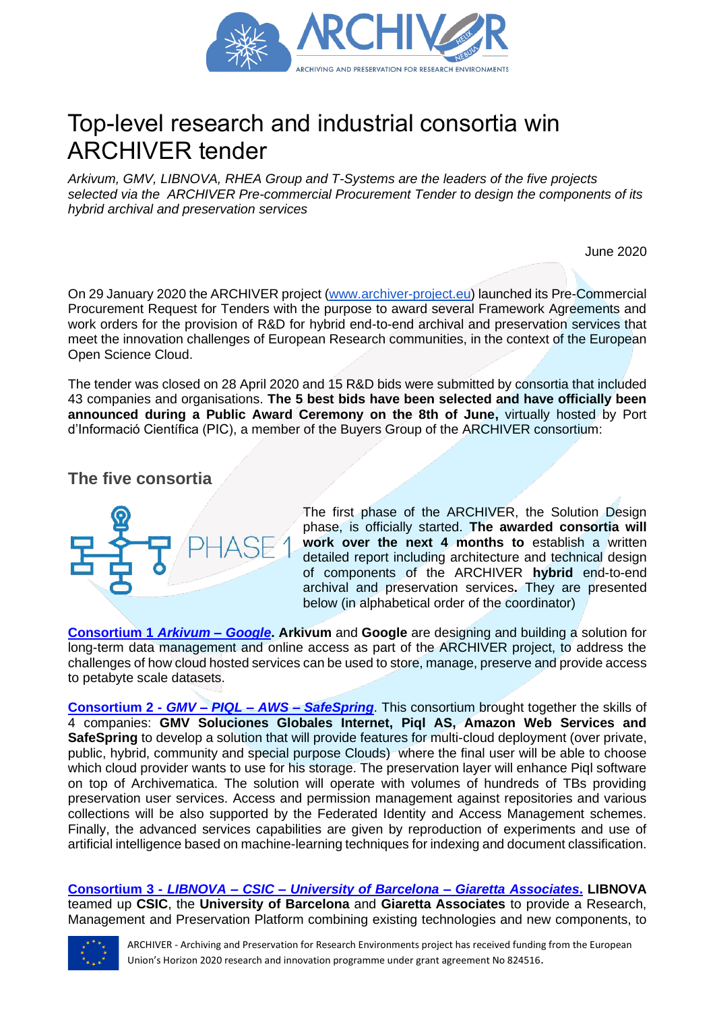

# Top-level research and industrial consortia win ARCHIVER tender

*Arkivum, GMV, LIBNOVA, RHEA Group and T-Systems are the leaders of the five projects selected via the ARCHIVER Pre-commercial Procurement Tender to design the components of its hybrid archival and preservation services*

June 2020

On 29 January 2020 the ARCHIVER project [\(www.archiver-project.eu\)](http://www.archiver-project.eu/) launched its Pre-Commercial Procurement Request for Tenders with the purpose to award several Framework Agreements and work orders for the provision of R&D for hybrid end-to-end archival and preservation services that meet the innovation challenges of European Research communities, in the context of the European Open Science Cloud.

The tender was closed on 28 April 2020 and 15 R&D bids were submitted by consortia that included 43 companies and organisations. **The 5 best bids have been selected and have officially been announced during a Public Award Ceremony on the 8th of June,** virtually hosted by Port d'Informació Científica (PIC), a member of the Buyers Group of the ARCHIVER consortium:

## **The five consortia**



The first phase of the ARCHIVER, the Solution Design phase, is officially started. **The awarded consortia will work over the next 4 months to** establish a written detailed report including architecture and technical design of components of the ARCHIVER **hybrid** end-to-end archival and preservation services**.** They are presented below (in alphabetical order of the coordinator)

**[Consortium 1](https://www.archiver-project.eu/design-phase-award/consortium-1)** *Arkivum – Google***. Arkivum** and **Google** are designing and building a solution for long-term data management and online access as part of the ARCHIVER project, to address the challenges of how cloud hosted services can be used to store, manage, preserve and provide access to petabyte scale datasets.

**[Consortium 2 -](https://www.archiver-project.eu/design-phase-award/consortium-2)** *GMV – PIQL – AWS – SafeSpring*. This consortium brought together the skills of 4 companies: **GMV Soluciones Globales Internet, Piql AS, Amazon Web Services and SafeSpring** to develop a solution that will provide features for multi-cloud deployment (over private, public, hybrid, community and special purpose Clouds) where the final user will be able to choose which cloud provider wants to use for his storage. The preservation layer will enhance Piql software on top of Archivematica. The solution will operate with volumes of hundreds of TBs providing preservation user services. Access and permission management against repositories and various collections will be also supported by the Federated Identity and Access Management schemes. Finally, the advanced services capabilities are given by reproduction of experiments and use of artificial intelligence based on machine-learning techniques for indexing and document classification[.](https://www.archiver-project.eu/design-phase-award/consortium-2)

**Consortium 3 -** *LIBNOVA – CSIC – [University of Barcelona –](https://www.archiver-project.eu/design-phase-award/consortium-3) Giaretta Associates***. LIBNOVA** teamed up **CSIC**, the **University of Barcelona** and **Giaretta Associates** to provide a Research, Management and Preservation Platform combining existing technologies and new components, to



ARCHIVER - Archiving and Preservation for Research Environments project has received funding from the European Union's Horizon 2020 research and innovation programme under grant agreement No 824516.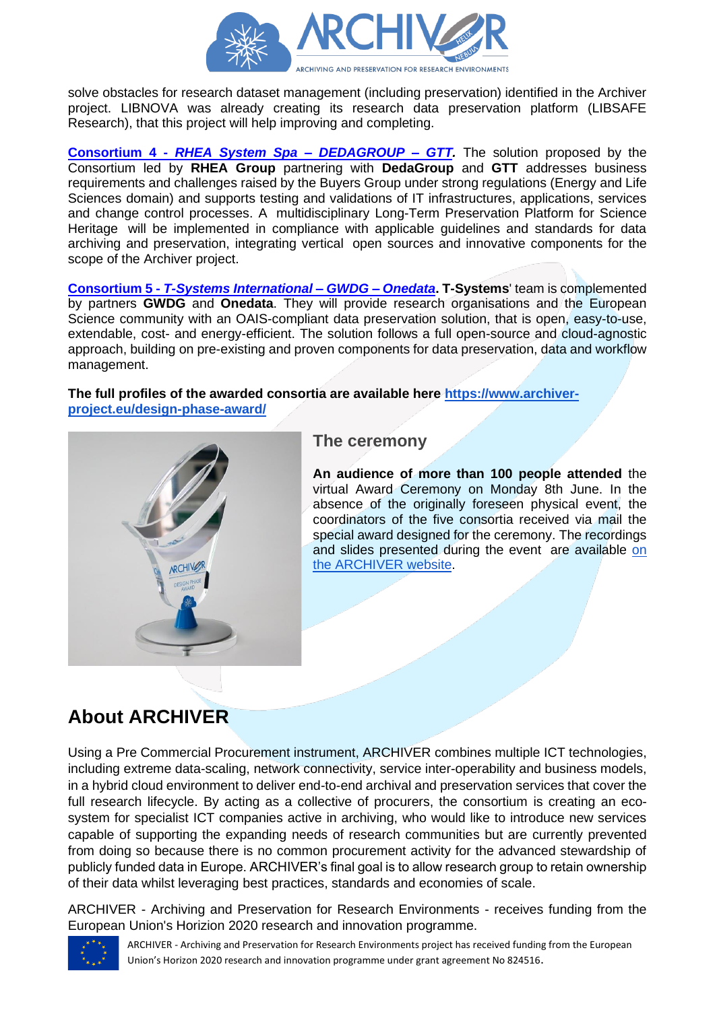

solve obstacles for research dataset management (including preservation) identified in the Archiver project. LIBNOVA was already creating its research data preservation platform (LIBSAFE Research), that this project will help improving and completing.

**Consortium 4 -** *[RHEA System Spa –](https://www.archiver-project.eu/design-phase-award/consortium-4) DEDAGROUP – GTT.* The solution proposed by the Consortium led by **RHEA Group** partnering with **DedaGroup** and **GTT** addresses business requirements and challenges raised by the Buyers Group under strong regulations (Energy and Life Sciences domain) and supports testing and validations of IT infrastructures, applications, services and change control processes. A multidisciplinary Long-Term Preservation Platform for Science Heritage will be implemented in compliance with applicable guidelines and standards for data archiving and preservation, integrating vertical open sources and innovative components for the scope of the Archiver project.

**Consortium 5 -** *[T-Systems International –](https://www.archiver-project.eu/design-phase-award/consortium-5) GWDG – Onedata***. T-Systems**' team is complemented by partners **GWDG** and **Onedata**. They will provide research organisations and the European Science community with an OAIS-compliant data preservation solution, that is open, easy-to-use, extendable, cost- and energy-efficient. The solution follows a full open-source and cloud-agnostic approach, building on pre-existing and proven components for data preservation, data and workflow management.

#### **The full profiles of the awarded consortia are available here [https://www.archiver](https://www.archiver-project.eu/design-phase-award/)[project.eu/design-phase-award/](https://www.archiver-project.eu/design-phase-award/)**



### **The ceremony**

**An audience of more than 100 people attended** the virtual Award Ceremony on Monday 8th June. In the absence of the originally foreseen physical event, the coordinators of the five consortia received via mail the special award designed for the ceremony. The recordings and slides presented during the event are available [on](https://www.archiver-project.eu/archiver-design-phase-kick-virtual-event)  [the ARCHIVER website.](https://www.archiver-project.eu/archiver-design-phase-kick-virtual-event)

## **About ARCHIVER**

Using a Pre Commercial Procurement instrument, ARCHIVER combines multiple ICT technologies, including extreme data-scaling, network connectivity, service inter-operability and business models, in a hybrid cloud environment to deliver end-to-end archival and preservation services that cover the full research lifecycle. By acting as a collective of procurers, the consortium is creating an ecosystem for specialist ICT companies active in archiving, who would like to introduce new services capable of supporting the expanding needs of research communities but are currently prevented from doing so because there is no common procurement activity for the advanced stewardship of publicly funded data in Europe. ARCHIVER's final goal is to allow research group to retain ownership of their data whilst leveraging best practices, standards and economies of scale.

ARCHIVER - Archiving and Preservation for Research Environments - receives funding from the European Union's Horizion 2020 research and innovation programme.



ARCHIVER - Archiving and Preservation for Research Environments project has received funding from the European Union's Horizon 2020 research and innovation programme under grant agreement No 824516.